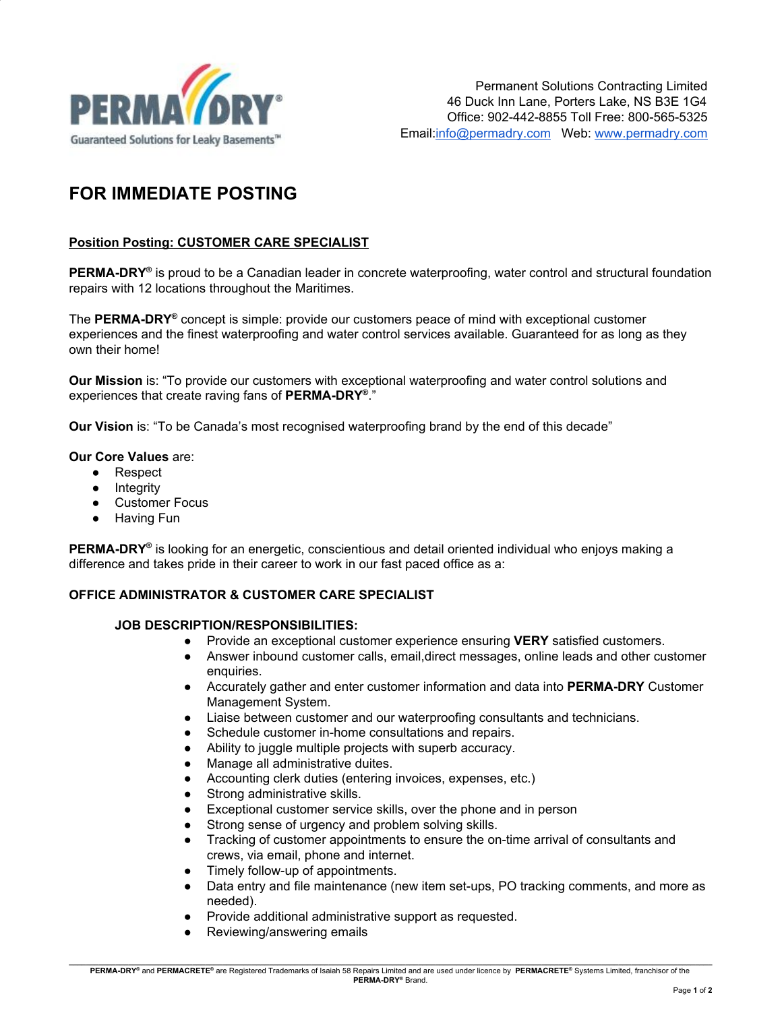

# **FOR IMMEDIATE POSTING**

## **Position Posting: CUSTOMER CARE SPECIALIST**

**PERMA-DRY<sup>®</sup>** is proud to be a Canadian leader in concrete waterproofing, water control and structural foundation repairs with 12 locations throughout the Maritimes.

The **PERMA-DRY ®** concept is simple: provide our customers peace of mind with exceptional customer experiences and the finest waterproofing and water control services available. Guaranteed for as long as they own their home!

**Our Mission** is: "To provide our customers with exceptional waterproofing and water control solutions and experiences that create raving fans of **PERMA-DRY ®** ."

**Our Vision** is: "To be Canada's most recognised waterproofing brand by the end of this decade"

#### **Our Core Values** are:

- Respect
- Integrity
- **Customer Focus**
- Having Fun

**PERMA-DRY ®** is looking for an energetic, conscientious and detail oriented individual who enjoys making a difference and takes pride in their career to work in our fast paced office as a:

## **OFFICE ADMINISTRATOR & CUSTOMER CARE SPECIALIST**

#### **JOB DESCRIPTION/RESPONSIBILITIES:**

- Provide an exceptional customer experience ensuring **VERY** satisfied customers.
- Answer inbound customer calls, email,direct messages, online leads and other customer enquiries.
- Accurately gather and enter customer information and data into **PERMA-DRY** Customer Management System.
- Liaise between customer and our waterproofing consultants and technicians.
- Schedule customer in-home consultations and repairs.
- Ability to juggle multiple projects with superb accuracy.
- Manage all administrative duites.
- Accounting clerk duties (entering invoices, expenses, etc.)
- Strong administrative skills.
- Exceptional customer service skills, over the phone and in person
- Strong sense of urgency and problem solving skills.
- Tracking of customer appointments to ensure the on-time arrival of consultants and crews, via email, phone and internet.
- Timely follow-up of appointments.
- Data entry and file maintenance (new item set-ups, PO tracking comments, and more as needed).
- Provide additional administrative support as requested.
- Reviewing/answering emails